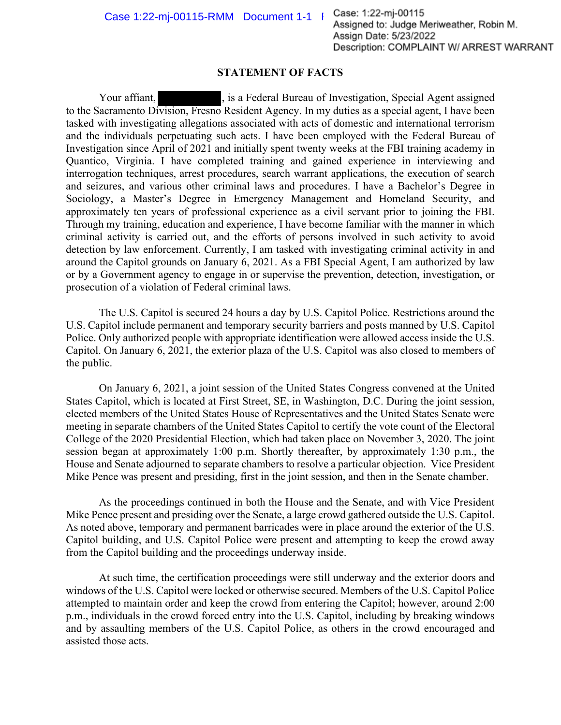Case  $1:22\text{-}mj\text{-}00115\text{-}RMM$  Document  $1\text{-}1$  | Case:  $1:22\text{-}mj\text{-}00115$ <br>Assigned to: Judge Meriweather, Robin M. Assign Date: 5/23/2022 Description: COMPLAINT W/ ARREST WARRANT

## **STATEMENT OF FACTS**

Your affiant,  $\qquad \qquad$ , is a Federal Bureau of Investigation, Special Agent assigned to the Sacramento Division, Fresno Resident Agency. In my duties as a special agent, I have been tasked with investigating allegations associated with acts of domestic and international terrorism and the individuals perpetuating such acts. I have been employed with the Federal Bureau of Investigation since April of 2021 and initially spent twenty weeks at the FBI training academy in Quantico, Virginia. I have completed training and gained experience in interviewing and interrogation techniques, arrest procedures, search warrant applications, the execution of search and seizures, and various other criminal laws and procedures. I have a Bachelor's Degree in Sociology, a Master's Degree in Emergency Management and Homeland Security, and approximately ten years of professional experience as a civil servant prior to joining the FBI. Through my training, education and experience, I have become familiar with the manner in which criminal activity is carried out, and the efforts of persons involved in such activity to avoid detection by law enforcement. Currently, I am tasked with investigating criminal activity in and around the Capitol grounds on January 6, 2021. As a FBI Special Agent, I am authorized by law or by a Government agency to engage in or supervise the prevention, detection, investigation, or prosecution of a violation of Federal criminal laws.

The U.S. Capitol is secured 24 hours a day by U.S. Capitol Police. Restrictions around the U.S. Capitol include permanent and temporary security barriers and posts manned by U.S. Capitol Police. Only authorized people with appropriate identification were allowed access inside the U.S. Capitol. On January 6, 2021, the exterior plaza of the U.S. Capitol was also closed to members of the public.

On January 6, 2021, a joint session of the United States Congress convened at the United States Capitol, which is located at First Street, SE, in Washington, D.C. During the joint session, elected members of the United States House of Representatives and the United States Senate were meeting in separate chambers of the United States Capitol to certify the vote count of the Electoral College of the 2020 Presidential Election, which had taken place on November 3, 2020. The joint session began at approximately 1:00 p.m. Shortly thereafter, by approximately 1:30 p.m., the House and Senate adjourned to separate chambers to resolve a particular objection. Vice President Mike Pence was present and presiding, first in the joint session, and then in the Senate chamber.

As the proceedings continued in both the House and the Senate, and with Vice President Mike Pence present and presiding over the Senate, a large crowd gathered outside the U.S. Capitol. As noted above, temporary and permanent barricades were in place around the exterior of the U.S. Capitol building, and U.S. Capitol Police were present and attempting to keep the crowd away from the Capitol building and the proceedings underway inside.

At such time, the certification proceedings were still underway and the exterior doors and windows of the U.S. Capitol were locked or otherwise secured. Members of the U.S. Capitol Police attempted to maintain order and keep the crowd from entering the Capitol; however, around 2:00 p.m., individuals in the crowd forced entry into the U.S. Capitol, including by breaking windows and by assaulting members of the U.S. Capitol Police, as others in the crowd encouraged and assisted those acts.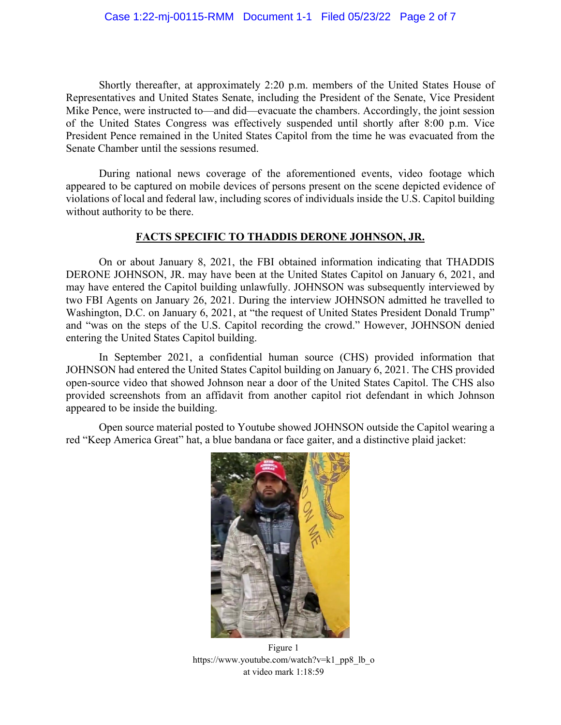Shortly thereafter, at approximately 2:20 p.m. members of the United States House of Representatives and United States Senate, including the President of the Senate, Vice President Mike Pence, were instructed to—and did—evacuate the chambers. Accordingly, the joint session of the United States Congress was effectively suspended until shortly after 8:00 p.m. Vice President Pence remained in the United States Capitol from the time he was evacuated from the Senate Chamber until the sessions resumed.

During national news coverage of the aforementioned events, video footage which appeared to be captured on mobile devices of persons present on the scene depicted evidence of violations of local and federal law, including scores of individuals inside the U.S. Capitol building without authority to be there.

## **FACTS SPECIFIC TO THADDIS DERONE JOHNSON, JR.**

On or about January 8, 2021, the FBI obtained information indicating that THADDIS DERONE JOHNSON, JR. may have been at the United States Capitol on January 6, 2021, and may have entered the Capitol building unlawfully. JOHNSON was subsequently interviewed by two FBI Agents on January 26, 2021. During the interview JOHNSON admitted he travelled to Washington, D.C. on January 6, 2021, at "the request of United States President Donald Trump" and "was on the steps of the U.S. Capitol recording the crowd." However, JOHNSON denied entering the United States Capitol building.

In September 2021, a confidential human source (CHS) provided information that JOHNSON had entered the United States Capitol building on January 6, 2021. The CHS provided open-source video that showed Johnson near a door of the United States Capitol. The CHS also provided screenshots from an affidavit from another capitol riot defendant in which Johnson appeared to be inside the building.

Open source material posted to Youtube showed JOHNSON outside the Capitol wearing a red "Keep America Great" hat, a blue bandana or face gaiter, and a distinctive plaid jacket:



Figure 1 https://www.youtube.com/watch?v=k1\_pp8\_lb\_o at video mark 1:18:59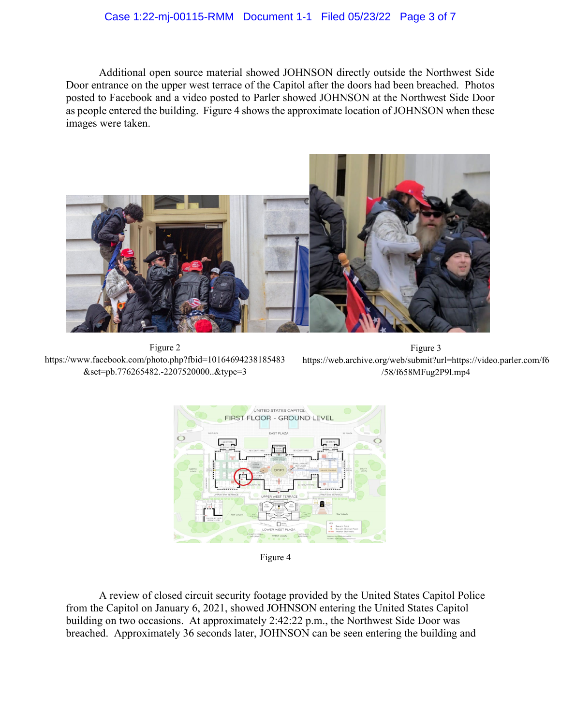## Case 1:22-mj-00115-RMM Document 1-1 Filed 05/23/22 Page 3 of 7

Additional open source material showed JOHNSON directly outside the Northwest Side Door entrance on the upper west terrace of the Capitol after the doors had been breached. Photos posted to Facebook and a video posted to Parler showed JOHNSON at the Northwest Side Door as people entered the building. Figure 4 shows the approximate location of JOHNSON when these images were taken.



Figure 2 [https://www.facebook.com/photo.php?fbid=10164694238185483](https://www.facebook.com/photo.php?fbid=10164694238185483&set=pb.776265482.-2207520000..&type=3) [&set=pb.776265482.-2207520000..&type=3](https://www.facebook.com/photo.php?fbid=10164694238185483&set=pb.776265482.-2207520000..&type=3)

Figure 3 [https://web.archive.org/web/submit?url=https://video.parler.com/f6](https://web.archive.org/web/submit?url=https://video.parler.com/f6/58/f658MFug2P9l.mp4) [/58/f658MFug2P9l.mp4](https://web.archive.org/web/submit?url=https://video.parler.com/f6/58/f658MFug2P9l.mp4)



Figure 4

A review of closed circuit security footage provided by the United States Capitol Police from the Capitol on January 6, 2021, showed JOHNSON entering the United States Capitol building on two occasions. At approximately 2:42:22 p.m., the Northwest Side Door was breached. Approximately 36 seconds later, JOHNSON can be seen entering the building and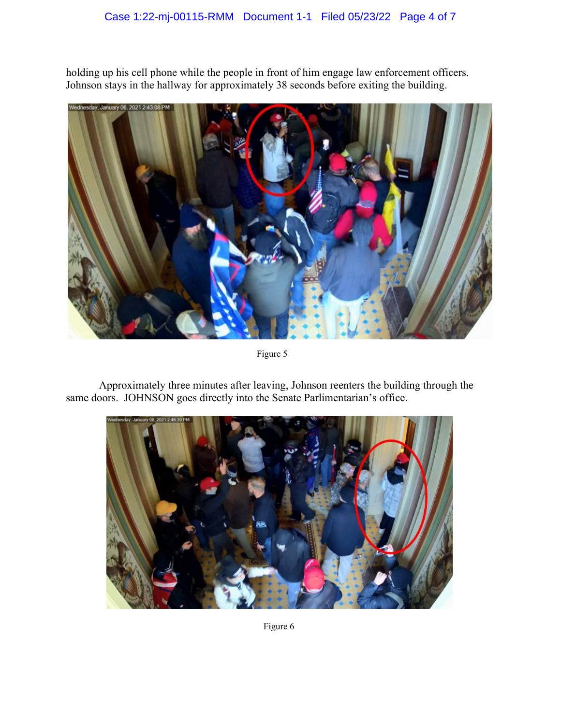## Case 1:22-mj-00115-RMM Document 1-1 Filed 05/23/22 Page 4 of 7

holding up his cell phone while the people in front of him engage law enforcement officers. Johnson stays in the hallway for approximately 38 seconds before exiting the building.



Figure 5

Approximately three minutes after leaving, Johnson reenters the building through the same doors. JOHNSON goes directly into the Senate Parlimentarian's office.



Figure 6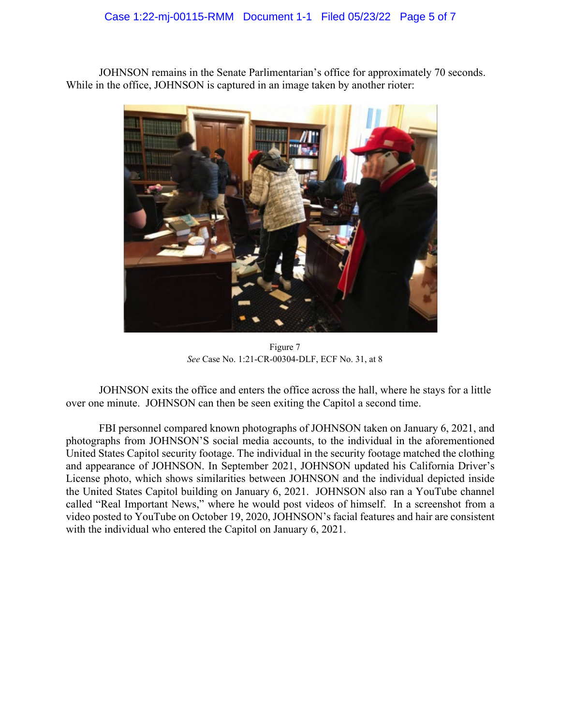JOHNSON remains in the Senate Parlimentarian's office for approximately 70 seconds. While in the office, JOHNSON is captured in an image taken by another rioter:



Figure 7 *See* Case No. 1:21-CR-00304-DLF, ECF No. 31, at 8

JOHNSON exits the office and enters the office across the hall, where he stays for a little over one minute. JOHNSON can then be seen exiting the Capitol a second time.

FBI personnel compared known photographs of JOHNSON taken on January 6, 2021, and photographs from JOHNSON'S social media accounts, to the individual in the aforementioned United States Capitol security footage. The individual in the security footage matched the clothing and appearance of JOHNSON. In September 2021, JOHNSON updated his California Driver's License photo, which shows similarities between JOHNSON and the individual depicted inside the United States Capitol building on January 6, 2021. JOHNSON also ran a YouTube channel called "Real Important News," where he would post videos of himself. In a screenshot from a video posted to YouTube on October 19, 2020, JOHNSON's facial features and hair are consistent with the individual who entered the Capitol on January 6, 2021.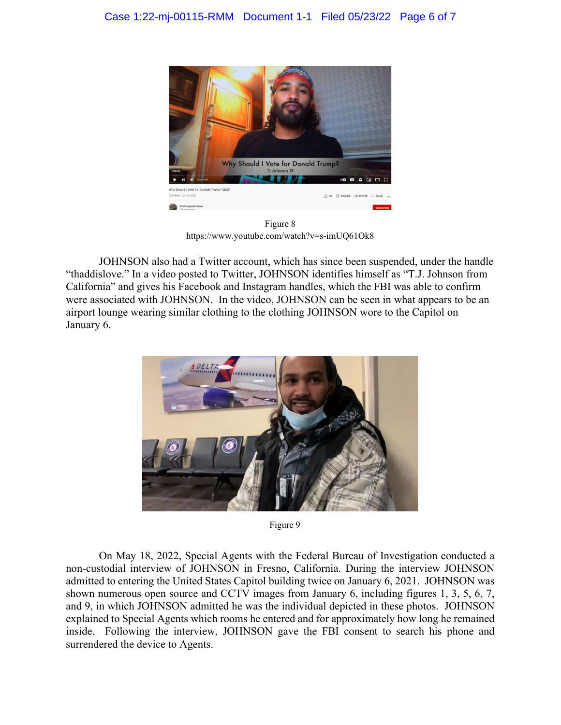

Figure 8 https://www.youtube.com/watch?v=s-imUQ61Ok8

JOHNSON also had a Twitter account, which has since been suspended, under the handle "thaddislove." In a video posted to Twitter, JOHNSON identifies himself as "T.J. Johnson from California" and gives his Facebook and Instagram handles, which the FBI was able to confirm were associated with JOHNSON. In the video, JOHNSON can be seen in what appears to be an airport lounge wearing similar clothing to the clothing JOHNSON wore to the Capitol on January 6.



Figure 9

On May 18, 2022, Special Agents with the Federal Bureau of Investigation conducted a non-custodial interview of JOHNSON in Fresno, California. During the interview JOHNSON admitted to entering the United States Capitol building twice on January 6, 2021. JOHNSON was shown numerous open source and CCTV images from January 6, including figures 1, 3, 5, 6, 7, and 9, in which JOHNSON admitted he was the individual depicted in these photos. JOHNSON explained to Special Agents which rooms he entered and for approximately how long he remained inside. Following the interview, JOHNSON gave the FBI consent to search his phone and surrendered the device to Agents.